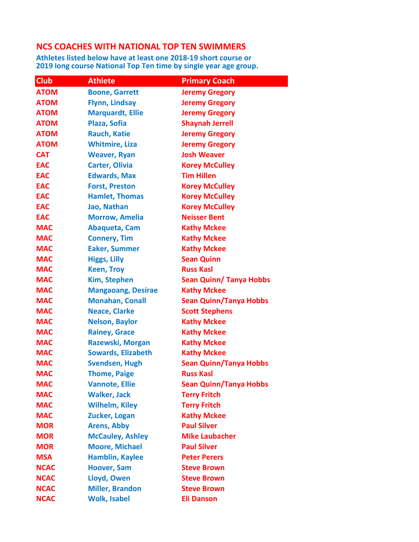## NCS COACHES WITH NATIONAL TOP TEN SWIMMERS

Athletes listed below have at least one 2018-19 short course or 2019 long course National Top Ten time by single year age group.

| <b>Club</b> | <b>Athlete</b>            | <b>Primary Coach</b>           |
|-------------|---------------------------|--------------------------------|
| <b>ATOM</b> | <b>Boone, Garrett</b>     | <b>Jeremy Gregory</b>          |
| <b>ATOM</b> | <b>Flynn, Lindsay</b>     | <b>Jeremy Gregory</b>          |
| <b>ATOM</b> | <b>Marquardt, Ellie</b>   | <b>Jeremy Gregory</b>          |
| <b>ATOM</b> | Plaza, Sofia              | <b>Shaynah Jerrell</b>         |
| <b>ATOM</b> | <b>Rauch, Katie</b>       | <b>Jeremy Gregory</b>          |
| <b>ATOM</b> | <b>Whitmire, Liza</b>     | <b>Jeremy Gregory</b>          |
| <b>CAT</b>  | <b>Weaver, Ryan</b>       | <b>Josh Weaver</b>             |
| <b>EAC</b>  | <b>Carter, Olivia</b>     | <b>Korey McCulley</b>          |
| <b>EAC</b>  | <b>Edwards, Max</b>       | <b>Tim Hillen</b>              |
| <b>EAC</b>  | <b>Forst, Preston</b>     | <b>Korey McCulley</b>          |
| <b>EAC</b>  | <b>Hamlet, Thomas</b>     | <b>Korey McCulley</b>          |
| <b>EAC</b>  | Jao, Nathan               | <b>Korey McCulley</b>          |
| <b>EAC</b>  | <b>Morrow, Amelia</b>     | <b>Neisser Bent</b>            |
| <b>MAC</b>  | Abaqueta, Cam             | <b>Kathy Mckee</b>             |
| <b>MAC</b>  | <b>Connery, Tim</b>       | <b>Kathy Mckee</b>             |
| <b>MAC</b>  | <b>Eaker, Summer</b>      | <b>Kathy Mckee</b>             |
| <b>MAC</b>  | <b>Higgs, Lilly</b>       | <b>Sean Quinn</b>              |
| <b>MAC</b>  | <b>Keen, Troy</b>         | <b>Russ Kasl</b>               |
| <b>MAC</b>  | <b>Kim, Stephen</b>       | <b>Sean Quinn/ Tanya Hobbs</b> |
| <b>MAC</b>  | <b>Mangaoang, Desirae</b> | <b>Kathy Mckee</b>             |
| <b>MAC</b>  | <b>Monahan, Conall</b>    | <b>Sean Quinn/Tanya Hobbs</b>  |
| <b>MAC</b>  | <b>Neace, Clarke</b>      | <b>Scott Stephens</b>          |
| <b>MAC</b>  | <b>Nelson, Baylor</b>     | <b>Kathy Mckee</b>             |
| <b>MAC</b>  | <b>Rainey, Grace</b>      | <b>Kathy Mckee</b>             |
| <b>MAC</b>  | Razewski, Morgan          | <b>Kathy Mckee</b>             |
| <b>MAC</b>  | <b>Sowards, Elizabeth</b> | <b>Kathy Mckee</b>             |
| <b>MAC</b>  | <b>Svendsen, Hugh</b>     | <b>Sean Quinn/Tanya Hobbs</b>  |
| <b>MAC</b>  | <b>Thome, Paige</b>       | <b>Russ Kasl</b>               |
| <b>MAC</b>  | <b>Vannote, Ellie</b>     | <b>Sean Quinn/Tanya Hobbs</b>  |
| <b>MAC</b>  | <b>Walker, Jack</b>       | <b>Terry Fritch</b>            |
| <b>MAC</b>  | <b>Wilhelm, Kiley</b>     | <b>Terry Fritch</b>            |
| <b>MAC</b>  | Zucker, Logan             | <b>Kathy Mckee</b>             |
| <b>MOR</b>  | <b>Arens, Abby</b>        | <b>Paul Silver</b>             |
| <b>MOR</b>  | <b>McCauley, Ashley</b>   | <b>Mike Laubacher</b>          |
| <b>MOR</b>  | <b>Moore, Michael</b>     | <b>Paul Silver</b>             |
| <b>MSA</b>  | <b>Hamblin, Kaylee</b>    | <b>Peter Perers</b>            |
| <b>NCAC</b> | <b>Hoover, Sam</b>        | <b>Steve Brown</b>             |
| <b>NCAC</b> | Lloyd, Owen               | <b>Steve Brown</b>             |
| <b>NCAC</b> | <b>Miller, Brandon</b>    | <b>Steve Brown</b>             |
| <b>NCAC</b> | <b>Wolk, Isabel</b>       | <b>Eli Danson</b>              |